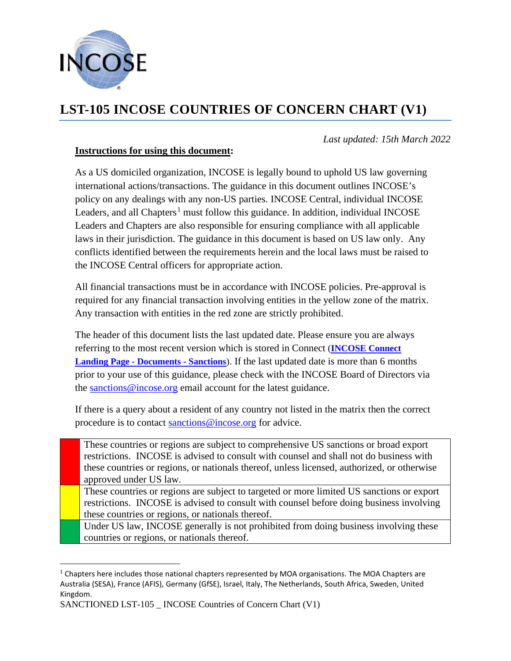

## **LST-105 INCOSE COUNTRIES OF CONCERN CHART (V1)**

## **Instructions for using this document:**

*Last updated: 15th March 2022*

As a US domiciled organization, INCOSE is legally bound to uphold US law governing international actions/transactions. The guidance in this document outlines INCOSE's policy on any dealings with any non-US parties. INCOSE Central, individual INCOSE Leaders, and all Chapters<sup>[1](#page-0-0)</sup> must follow this guidance. In addition, individual INCOSE Leaders and Chapters are also responsible for ensuring compliance with all applicable laws in their jurisdiction. The guidance in this document is based on US law only. Any conflicts identified between the requirements herein and the local laws must be raised to the INCOSE Central officers for appropriate action.

All financial transactions must be in accordance with INCOSE policies. Pre-approval is required for any financial transaction involving entities in the yellow zone of the matrix. Any transaction with entities in the red zone are strictly prohibited.

The header of this document lists the last updated date. Please ensure you are always referring to the most recent version which is stored in Connect (**[INCOSE Connect](https://connect.incose.org/Pages/Home.aspx?RootFolder=%2FShared%20Documents%2FSanctions&FolderCTID=0x012000174059CA31AE4D4D937094EAE672588B&View=%7B16680328%2D197A%2D492A%2D8F92%2D9FCB346A8951%7D)  [Landing Page -](https://connect.incose.org/Pages/Home.aspx?RootFolder=%2FShared%20Documents%2FSanctions&FolderCTID=0x012000174059CA31AE4D4D937094EAE672588B&View=%7B16680328%2D197A%2D492A%2D8F92%2D9FCB346A8951%7D) Documents - Sanctions**). If the last updated date is more than 6 months prior to your use of this guidance, please check with the INCOSE Board of Directors via the [sanctions@incose.org](mailto:sanctions@incose.org) email account for the latest guidance.

If there is a query about a resident of any country not listed in the matrix then the correct procedure is to contact [sanctions@incose.org](mailto:sanctions@incose.org) for advice.

These countries or regions are subject to comprehensive US sanctions or broad export restrictions. INCOSE is advised to consult with counsel and shall not do business with these countries or regions, or nationals thereof, unless licensed, authorized, or otherwise approved under US law.

These countries or regions are subject to targeted or more limited US sanctions or export restrictions. INCOSE is advised to consult with counsel before doing business involving these countries or regions, or nationals thereof.

Under US law, INCOSE generally is not prohibited from doing business involving these countries or regions, or nationals thereof.

<span id="page-0-0"></span><sup>&</sup>lt;sup>1</sup> Chapters here includes those national chapters represented by MOA organisations. The MOA Chapters are Australia (SESA), France (AFIS), Germany (GfSE), Israel, Italy, The Netherlands, South Africa, Sweden, United Kingdom.

SANCTIONED LST-105 \_ INCOSE Countries of Concern Chart (V1)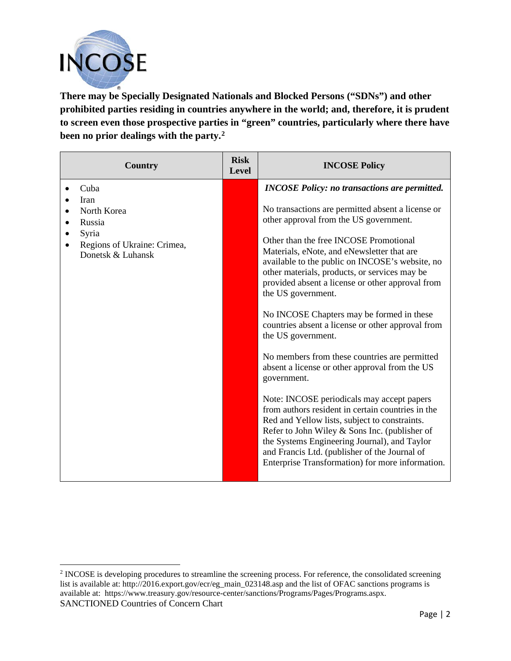

**There may be Specially Designated Nationals and Blocked Persons ("SDNs") and other prohibited parties residing in countries anywhere in the world; and, therefore, it is prudent to screen even those prospective parties in "green" countries, particularly where there have been no prior dealings with the party.[2](#page-1-0)**

| <b>Country</b>                                                                             | <b>Risk</b><br><b>Level</b> | <b>INCOSE Policy</b>                                                                                                                                                                                                                                                                                                                                   |
|--------------------------------------------------------------------------------------------|-----------------------------|--------------------------------------------------------------------------------------------------------------------------------------------------------------------------------------------------------------------------------------------------------------------------------------------------------------------------------------------------------|
| Cuba                                                                                       |                             | <b>INCOSE Policy: no transactions are permitted.</b>                                                                                                                                                                                                                                                                                                   |
| Iran<br>North Korea<br>Russia<br>Syria<br>Regions of Ukraine: Crimea,<br>Donetsk & Luhansk |                             | No transactions are permitted absent a license or<br>other approval from the US government.                                                                                                                                                                                                                                                            |
|                                                                                            |                             | Other than the free INCOSE Promotional<br>Materials, eNote, and eNewsletter that are<br>available to the public on INCOSE's website, no<br>other materials, products, or services may be<br>provided absent a license or other approval from<br>the US government.                                                                                     |
|                                                                                            |                             | No INCOSE Chapters may be formed in these<br>countries absent a license or other approval from<br>the US government.                                                                                                                                                                                                                                   |
|                                                                                            |                             | No members from these countries are permitted<br>absent a license or other approval from the US<br>government.                                                                                                                                                                                                                                         |
|                                                                                            |                             | Note: INCOSE periodicals may accept papers<br>from authors resident in certain countries in the<br>Red and Yellow lists, subject to constraints.<br>Refer to John Wiley & Sons Inc. (publisher of<br>the Systems Engineering Journal), and Taylor<br>and Francis Ltd. (publisher of the Journal of<br>Enterprise Transformation) for more information. |

<span id="page-1-0"></span>SANCTIONED Countries of Concern Chart <sup>2</sup> INCOSE is developing procedures to streamline the screening process. For reference, the consolidated screening list is available at: http://2016.export.gov/ecr/eg\_main\_023148.asp and the list of OFAC sanctions programs is available at: https://www.treasury.gov/resource-center/sanctions/Programs/Pages/Programs.aspx.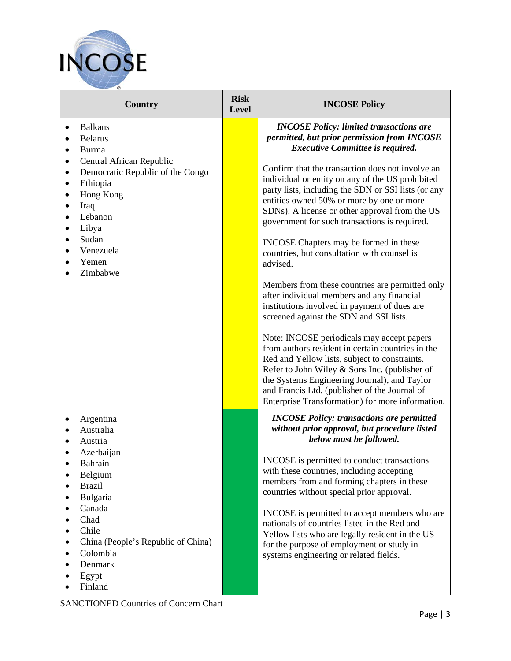

| <b>Country</b>                                                                                                                                                                                                                                                            | <b>Risk</b><br><b>Level</b> | <b>INCOSE Policy</b>                                                                                                                                                                                                                                                                                                                                                                                                                                                                                                                                                                                                                                                                                                                                                                                                                                                                                                                                                   |
|---------------------------------------------------------------------------------------------------------------------------------------------------------------------------------------------------------------------------------------------------------------------------|-----------------------------|------------------------------------------------------------------------------------------------------------------------------------------------------------------------------------------------------------------------------------------------------------------------------------------------------------------------------------------------------------------------------------------------------------------------------------------------------------------------------------------------------------------------------------------------------------------------------------------------------------------------------------------------------------------------------------------------------------------------------------------------------------------------------------------------------------------------------------------------------------------------------------------------------------------------------------------------------------------------|
| <b>Balkans</b><br>$\bullet$<br><b>Belarus</b><br>$\bullet$<br>Burma<br>$\bullet$                                                                                                                                                                                          |                             | <b>INCOSE Policy: limited transactions are</b><br>permitted, but prior permission from INCOSE<br><b>Executive Committee is required.</b>                                                                                                                                                                                                                                                                                                                                                                                                                                                                                                                                                                                                                                                                                                                                                                                                                               |
| Central African Republic<br>٠<br>Democratic Republic of the Congo<br>$\bullet$<br>Ethiopia<br>$\bullet$<br>Hong Kong<br>$\bullet$<br>Iraq<br>$\bullet$<br>Lebanon<br>$\bullet$<br>Libya<br>$\bullet$<br>Sudan<br>$\bullet$<br>Venezuela<br>$\bullet$<br>Yemen<br>Zimbabwe |                             | Confirm that the transaction does not involve an<br>individual or entity on any of the US prohibited<br>party lists, including the SDN or SSI lists (or any<br>entities owned 50% or more by one or more<br>SDNs). A license or other approval from the US<br>government for such transactions is required.<br>INCOSE Chapters may be formed in these<br>countries, but consultation with counsel is<br>advised.<br>Members from these countries are permitted only<br>after individual members and any financial<br>institutions involved in payment of dues are<br>screened against the SDN and SSI lists.<br>Note: INCOSE periodicals may accept papers<br>from authors resident in certain countries in the<br>Red and Yellow lists, subject to constraints.<br>Refer to John Wiley & Sons Inc. (publisher of<br>the Systems Engineering Journal), and Taylor<br>and Francis Ltd. (publisher of the Journal of<br>Enterprise Transformation) for more information. |
| Argentina<br>$\bullet$<br>Australia<br>$\bullet$<br>Austria<br>$\bullet$<br>Azerbaijan<br>Bahrain<br>Belgium<br>$\bullet$<br><b>Brazil</b><br>Bulgaria<br>Canada<br>Chad<br>Chile<br>٠<br>China (People's Republic of China)<br>Colombia<br>Denmark<br>Egypt<br>Finland   |                             | <b>INCOSE Policy: transactions are permitted</b><br>without prior approval, but procedure listed<br>below must be followed.<br>INCOSE is permitted to conduct transactions<br>with these countries, including accepting<br>members from and forming chapters in these<br>countries without special prior approval.<br>INCOSE is permitted to accept members who are<br>nationals of countries listed in the Red and<br>Yellow lists who are legally resident in the US<br>for the purpose of employment or study in<br>systems engineering or related fields.                                                                                                                                                                                                                                                                                                                                                                                                          |

SANCTIONED Countries of Concern Chart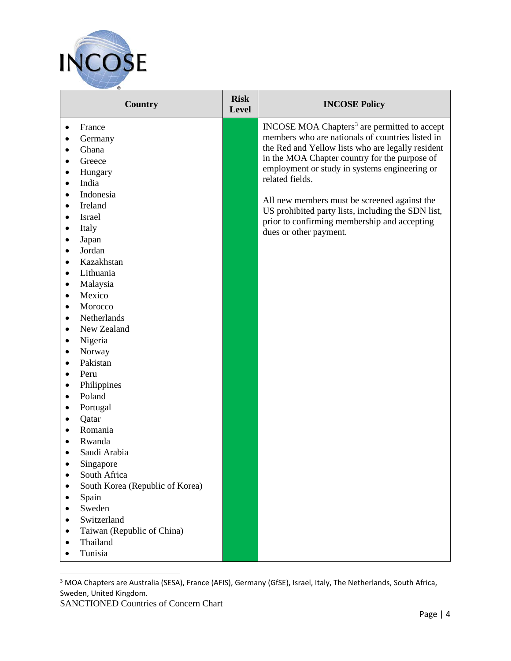

| <b>Country</b>                  | <b>Risk</b><br><b>Level</b> | <b>INCOSE Policy</b>                                                                               |
|---------------------------------|-----------------------------|----------------------------------------------------------------------------------------------------|
| France<br>٠                     |                             | INCOSE MOA Chapters <sup>3</sup> are permitted to accept                                           |
| Germany                         |                             | members who are nationals of countries listed in                                                   |
| Ghana                           |                             | the Red and Yellow lists who are legally resident                                                  |
| Greece                          |                             | in the MOA Chapter country for the purpose of                                                      |
| Hungary                         |                             | employment or study in systems engineering or                                                      |
| India                           |                             | related fields.                                                                                    |
| Indonesia<br>$\bullet$          |                             |                                                                                                    |
| Ireland<br>$\bullet$            |                             | All new members must be screened against the<br>US prohibited party lists, including the SDN list, |
| Israel                          |                             | prior to confirming membership and accepting                                                       |
| Italy                           |                             | dues or other payment.                                                                             |
| Japan<br>٠                      |                             |                                                                                                    |
| Jordan<br>$\bullet$             |                             |                                                                                                    |
| Kazakhstan<br>$\bullet$         |                             |                                                                                                    |
| Lithuania                       |                             |                                                                                                    |
| Malaysia<br>٠                   |                             |                                                                                                    |
| Mexico<br>$\bullet$             |                             |                                                                                                    |
| Morocco<br>$\bullet$            |                             |                                                                                                    |
| Netherlands<br>$\bullet$        |                             |                                                                                                    |
| New Zealand<br>$\bullet$        |                             |                                                                                                    |
| Nigeria<br>$\bullet$            |                             |                                                                                                    |
| Norway<br>٠                     |                             |                                                                                                    |
| Pakistan                        |                             |                                                                                                    |
| Peru<br>$\bullet$               |                             |                                                                                                    |
| Philippines<br>٠                |                             |                                                                                                    |
| Poland<br>٠                     |                             |                                                                                                    |
| Portugal                        |                             |                                                                                                    |
| Qatar                           |                             |                                                                                                    |
| Romania                         |                             |                                                                                                    |
| Rwanda                          |                             |                                                                                                    |
| Saudi Arabia                    |                             |                                                                                                    |
| Singapore                       |                             |                                                                                                    |
| South Africa                    |                             |                                                                                                    |
| South Korea (Republic of Korea) |                             |                                                                                                    |
| Spain                           |                             |                                                                                                    |
| Sweden                          |                             |                                                                                                    |
| Switzerland<br>$\bullet$        |                             |                                                                                                    |
| Taiwan (Republic of China)      |                             |                                                                                                    |
| Thailand                        |                             |                                                                                                    |
| Tunisia                         |                             |                                                                                                    |

<span id="page-3-0"></span><sup>3</sup> MOA Chapters are Australia (SESA), France (AFIS), Germany (GfSE), Israel, Italy, The Netherlands, South Africa, Sweden, United Kingdom.